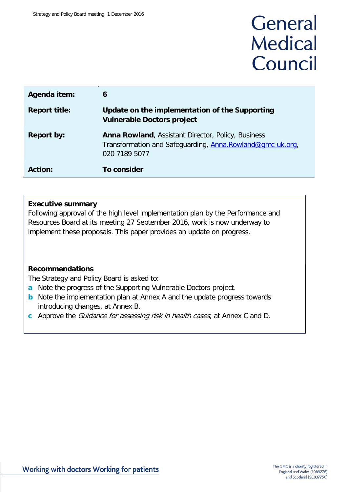# General **Medical** Council

| Agenda item:         | 6                                                                                                                                       |
|----------------------|-----------------------------------------------------------------------------------------------------------------------------------------|
| <b>Report title:</b> | Update on the implementation of the Supporting<br><b>Vulnerable Doctors project</b>                                                     |
| <b>Report by:</b>    | <b>Anna Rowland, Assistant Director, Policy, Business</b><br>Transformation and Safeguarding, Anna.Rowland@gmc-uk.org,<br>020 7189 5077 |
| <b>Action:</b>       | To consider                                                                                                                             |

#### **Executive summary**

Following approval of the high level implementation plan by the Performance and Resources Board at its meeting 27 September 2016, work is now underway to implement these proposals. This paper provides an update on progress.

### **Recommendations**

The Strategy and Policy Board is asked to:

- **a** Note the progress of the Supporting Vulnerable Doctors project.
- **b** Note the implementation plan at Annex A and the update progress towards introducing changes, at Annex B.
- **c** Approve the Guidance for assessing risk in health cases, at Annex C and D.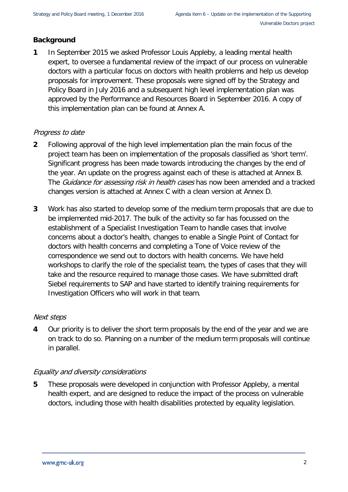### **Background**

**1** In September 2015 we asked Professor Louis Appleby, a leading mental health expert, to oversee a fundamental review of the impact of our process on vulnerable doctors with a particular focus on doctors with health problems and help us develop proposals for improvement. These proposals were signed off by the Strategy and Policy Board in July 2016 and a subsequent high level implementation plan was approved by the Performance and Resources Board in September 2016. A copy of this implementation plan can be found at Annex A.

### Progress to date

- **2** Following approval of the high level implementation plan the main focus of the project team has been on implementation of the proposals classified as 'short term'. Significant progress has been made towards introducing the changes by the end of the year. An update on the progress against each of these is attached at Annex B. The Guidance for assessing risk in health cases has now been amended and a tracked changes version is attached at Annex C with a clean version at Annex D.
- **3** Work has also started to develop some of the medium term proposals that are due to be implemented mid-2017. The bulk of the activity so far has focussed on the establishment of a Specialist Investigation Team to handle cases that involve concerns about a doctor's health, changes to enable a Single Point of Contact for doctors with health concerns and completing a Tone of Voice review of the correspondence we send out to doctors with health concerns. We have held workshops to clarify the role of the specialist team, the types of cases that they will take and the resource required to manage those cases. We have submitted draft Siebel requirements to SAP and have started to identify training requirements for Investigation Officers who will work in that team.

### Next steps

**4** Our priority is to deliver the short term proposals by the end of the year and we are on track to do so. Planning on a number of the medium term proposals will continue in parallel.

### Equality and diversity considerations

**5** These proposals were developed in conjunction with Professor Appleby, a mental health expert, and are designed to reduce the impact of the process on vulnerable doctors, including those with health disabilities protected by equality legislation.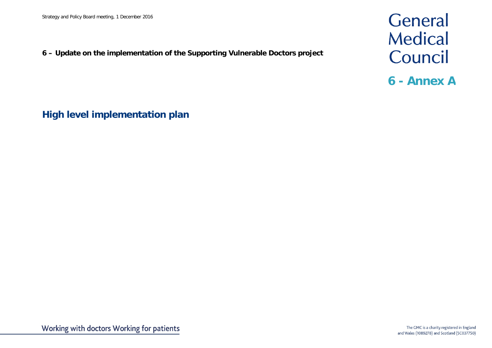**6 – Update on the implementation of the Supporting Vulnerable Doctors project**

General **Medical** Council

**6 - Annex A**

**High level implementation plan**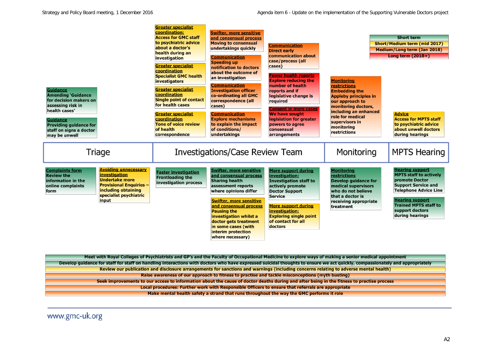| <b>Guidance</b><br><b>Amending 'Guidance</b><br>for decision makers on<br>assessing risk in<br>health cases'<br><b>Guidance</b><br><b>Providing guidance for</b><br>staff on signs a doctor<br>may be unwell                                                        | <u>Greater specialist</u><br>coordination:<br><b>Access for GMC staff</b><br>to psychiatric advice<br>about a doctor's<br>health during an<br>investigation<br><b>Greater specialist</b><br>coordination<br><b>Specialist GMC health</b><br>investigators<br><b>Greater specialist</b><br>coordination<br><b>Single point of contact</b><br>for health cases<br><b>Greater specialist</b><br>coordination<br><b>Tone of voice review</b><br>of health<br>correspondence | <b>Swifter, more sensitive</b><br>and consensual process<br><b>Moving to consensual</b><br>undertakings quickly<br><b>Communication</b><br><b>Speeding up</b><br>notification to doctors<br>about the outcome of<br>an investigation<br><b>Communication</b><br><b>Investigation officer</b><br>co-ordinating all GMC<br>correspondence (all<br>cases)<br><b>Communication</b><br><b>Explore mechanisms</b><br>to explain the impact<br>of conditions/<br>undertakings | <b>Communication</b><br><b>Direct early</b><br>communication about<br>case/process (all<br>cases)<br><b>Fewer health reports</b><br><b>Explore reducing the</b><br>number of health<br>reports and if<br>legislative change is<br>required<br><b>Consent in more cases</b><br><b>We have sought</b><br>legislation for greater<br>powers to agree<br>consensual<br>arrangements | <b>Monitoring</b><br>restrictions<br><b>Embedding the</b><br><b>Appleby principles in</b><br>our approach to<br>monitoring doctors,<br>including an enhanced<br>role for medical<br>supervisors in<br>monitoring<br>restrictions | <b>Short term</b><br><b>Short/Medium term (mid 2017)</b><br>Medium/Long term (Jan 2018)<br>Long term $(2018+)$<br><b>Advice</b><br><b>Access for MPTS staff</b><br>to psychiatric advice<br>about unwell doctors<br>during hearings            |
|---------------------------------------------------------------------------------------------------------------------------------------------------------------------------------------------------------------------------------------------------------------------|-------------------------------------------------------------------------------------------------------------------------------------------------------------------------------------------------------------------------------------------------------------------------------------------------------------------------------------------------------------------------------------------------------------------------------------------------------------------------|------------------------------------------------------------------------------------------------------------------------------------------------------------------------------------------------------------------------------------------------------------------------------------------------------------------------------------------------------------------------------------------------------------------------------------------------------------------------|---------------------------------------------------------------------------------------------------------------------------------------------------------------------------------------------------------------------------------------------------------------------------------------------------------------------------------------------------------------------------------|----------------------------------------------------------------------------------------------------------------------------------------------------------------------------------------------------------------------------------|------------------------------------------------------------------------------------------------------------------------------------------------------------------------------------------------------------------------------------------------|
| Triage                                                                                                                                                                                                                                                              |                                                                                                                                                                                                                                                                                                                                                                                                                                                                         | <b>Investigations/Case Review Team</b>                                                                                                                                                                                                                                                                                                                                                                                                                                 |                                                                                                                                                                                                                                                                                                                                                                                 | Monitoring                                                                                                                                                                                                                       | <b>MPTS Hearing</b>                                                                                                                                                                                                                            |
| <b>Avoiding unnecessary</b><br><b>Complaints form</b><br>investigation<br><b>Review the</b><br><b>Undertake more</b><br>information in the<br><b>Provisional Enquiries -</b><br>online complaints<br>including obtaining<br>form<br>specialist psychiatric<br>input | <b>Faster investigation</b><br><b>Frontloading the</b><br>investigation process                                                                                                                                                                                                                                                                                                                                                                                         | <b>Swifter, more sensitive</b><br>and consensual process<br><b>Sharing health</b><br>assessment reports<br>where opinions differ<br><b>Swifter, more sensitive</b><br>and consensual process<br><b>Pausing the</b><br>investigation whilst a<br>doctor gets treatment<br>in some cases (with<br>interim protection<br>where necessary)                                                                                                                                 | <b>More support during</b><br>investigation:<br><b>Investigation staff to</b><br>actively promote<br><b>Doctor Support</b><br><b>Service</b><br><b>More support during</b><br>investigation:<br><b>Exploring single point</b><br>of contact for all<br>doctors                                                                                                                  | <b>Monitoring</b><br>restrictions<br><b>Develop quidance for</b><br>medical supervisors<br>who do not believe<br>that a doctor is<br>receiving appropriate<br>treatment                                                          | <b>Hearing support</b><br><b>MPTS staff to actively</b><br><b>promote Doctor</b><br><b>Support Service and</b><br><b>Telephone Advice Line</b><br><b>Hearing support</b><br><b>Trained MPTS staff to</b><br>support doctors<br>during hearings |

Meet with Royal Colleges of Psychiatrists and GP's and the Faculty of Occupational Medicine to explore ways of making a senior medical appointment Develop guidance for staff for staff on handling interactions with doctors who have expressed suicidal thoughts to ensure we act quickly, compassionately and appropriately Review our publication and disclosure arrangements for sanctions and warnings (including concerns relating to adverse mental health) Raise awareness of our approach to fitness to practise and tackle misconceptions (myth busting) Seek improvements to our access to information about the cause of doctor deaths during and after being in the fitness to practise process Local procedures: Further work with Responsible Officers to ensure that referrals are appropriate Make mental health safety a strand that runs throughout the way the GMC performs it role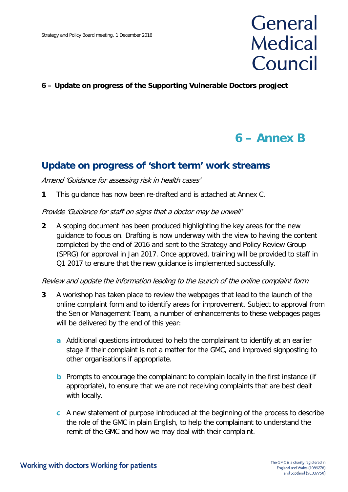# General **Medical** Council

### **6 – Update on progress of the Supporting Vulnerable Doctors progject**

# **6 – Annex B**

## **Update on progress of 'short term' work streams**

#### Amend 'Guidance for assessing risk in health cases'

**1** This guidance has now been re-drafted and is attached at Annex C.

#### Provide 'Guidance for staff on signs that a doctor may be unwell'

**2** A scoping document has been produced highlighting the key areas for the new guidance to focus on. Drafting is now underway with the view to having the content completed by the end of 2016 and sent to the Strategy and Policy Review Group (SPRG) for approval in Jan 2017. Once approved, training will be provided to staff in Q1 2017 to ensure that the new guidance is implemented successfully.

#### Review and update the information leading to the launch of the online complaint form

- **3** A workshop has taken place to review the webpages that lead to the launch of the online complaint form and to identify areas for improvement. Subject to approval from the Senior Management Team, a number of enhancements to these webpages pages will be delivered by the end of this year:
	- **a** Additional questions introduced to help the complainant to identify at an earlier stage if their complaint is not a matter for the GMC, and improved signposting to other organisations if appropriate.
	- **b** Prompts to encourage the complainant to complain locally in the first instance (if appropriate), to ensure that we are not receiving complaints that are best dealt with locally.
	- **c** A new statement of purpose introduced at the beginning of the process to describe the role of the GMC in plain English, to help the complainant to understand the remit of the GMC and how we may deal with their complaint.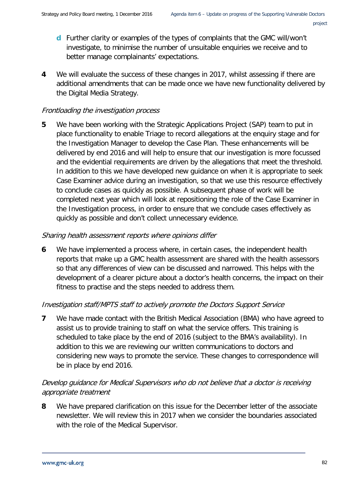- **d** Further clarity or examples of the types of complaints that the GMC will/won't investigate, to minimise the number of unsuitable enquiries we receive and to better manage complainants' expectations.
- **4** We will evaluate the success of these changes in 2017, whilst assessing if there are additional amendments that can be made once we have new functionality delivered by the Digital Media Strategy.

### Frontloading the investigation process

**5** We have been working with the Strategic Applications Project (SAP) team to put in place functionality to enable Triage to record allegations at the enquiry stage and for the Investigation Manager to develop the Case Plan. These enhancements will be delivered by end 2016 and will help to ensure that our investigation is more focussed and the evidential requirements are driven by the allegations that meet the threshold. In addition to this we have developed new guidance on when it is appropriate to seek Case Examiner advice during an investigation, so that we use this resource effectively to conclude cases as quickly as possible. A subsequent phase of work will be completed next year which will look at repositioning the role of the Case Examiner in the Investigation process, in order to ensure that we conclude cases effectively as quickly as possible and don't collect unnecessary evidence.

### Sharing health assessment reports where opinions differ

**6** We have implemented a process where, in certain cases, the independent health reports that make up a GMC health assessment are shared with the health assessors so that any differences of view can be discussed and narrowed. This helps with the development of a clearer picture about a doctor's health concerns, the impact on their fitness to practise and the steps needed to address them.

### Investigation staff/MPTS staff to actively promote the Doctors Support Service

**7** We have made contact with the British Medical Association (BMA) who have agreed to assist us to provide training to staff on what the service offers. This training is scheduled to take place by the end of 2016 (subject to the BMA's availability). In addition to this we are reviewing our written communications to doctors and considering new ways to promote the service. These changes to correspondence will be in place by end 2016.

### Develop guidance for Medical Supervisors who do not believe that a doctor is receiving appropriate treatment

**8** We have prepared clarification on this issue for the December letter of the associate newsletter. We will review this in 2017 when we consider the boundaries associated with the role of the Medical Supervisor.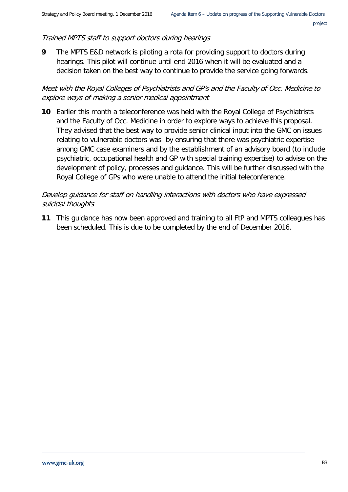### Trained MPTS staff to support doctors during hearings

**9** The MPTS E&D network is piloting a rota for providing support to doctors during hearings. This pilot will continue until end 2016 when it will be evaluated and a decision taken on the best way to continue to provide the service going forwards.

Meet with the Royal Colleges of Psychiatrists and GP's and the Faculty of Occ. Medicine to explore ways of making a senior medical appointment

**10** Earlier this month a teleconference was held with the Royal College of Psychiatrists and the Faculty of Occ. Medicine in order to explore ways to achieve this proposal. They advised that the best way to provide senior clinical input into the GMC on issues relating to vulnerable doctors was by ensuring that there was psychiatric expertise among GMC case examiners and by the establishment of an advisory board (to include psychiatric, occupational health and GP with special training expertise) to advise on the development of policy, processes and guidance. This will be further discussed with the Royal College of GPs who were unable to attend the initial teleconference.

### Develop guidance for staff on handling interactions with doctors who have expressed suicidal thoughts

**11** This guidance has now been approved and training to all FtP and MPTS colleagues has been scheduled. This is due to be completed by the end of December 2016.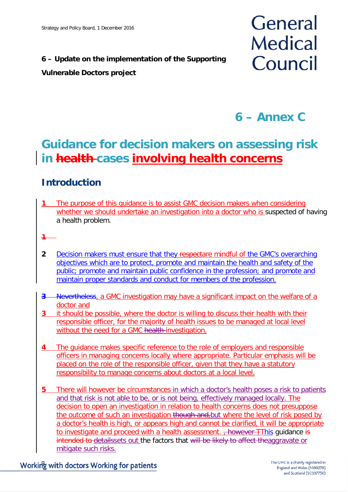# **6 – Update on the implementation of the Supporting**

## **Vulnerable Doctors project**

# General **Medical** Council

# **6 – Annex C**

# **Guidance for decision makers on assessing risk in health cases involving health concerns**

# **Introduction**

- **1** The purpose of this guidance is to assist GMC decision makers when considering whether we should undertake an investigation into a doctor who is suspected of having a health problem.
- **1**
- **2** Decision makers must ensure that they respectare mindful of the GMC's overarching objectives which are to protect, promote and maintain the health and safety of the public; promote and maintain public confidence in the profession; and promote and maintain proper standards and conduct for members of the profession.
- **3** Nevertheless, a GMC investigation may have a significant impact on the welfare of a doctor and
- **3** it should be possible, where the doctor is willing to discuss their health with their responsible officer, for the majority of health issues to be managed at local level without the need for a GMC health-investigation.
- **4** The guidance makes specific reference to the role of employers and responsible officers in managing concerns locally where appropriate. Particular emphasis will be placed on the role of the responsible officer, given that they have a statutory responsibility to manage concerns about doctors at a local level.
- **5** There will however be circumstances in which a doctor's health poses a risk to patients and that risk is not able to be, or is not being, effectively managed locally. The decision to open an investigation in relation to health concerns does not presuppose the outcome of such an investigation though and, but where the level of risk posed by a doctor's health is high, or appears high and cannot be clarified, it will be appropriate to investigate and proceed with a health assessment. <del>, however T</del>This guidance is intended to detailssets out the factors that will be likely to affect theaggravate or mitigate such risks.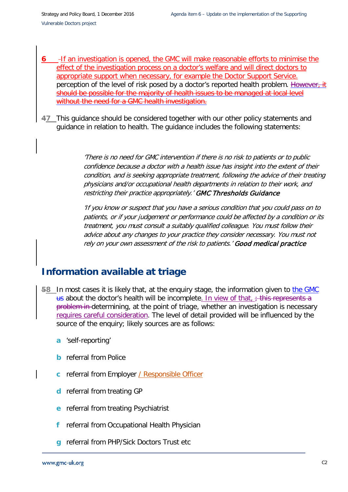- **6** If an investigation is opened, the GMC will make reasonable efforts to minimise the effect of the investigation process on a doctor's welfare and will direct doctors to appropriate support when necessary, for example the Doctor Support Service. perception of the level of risk posed by a doctor's reported health problem. However, should be possible for the majority of health issues to be managed at local level without the need for a GMC health investigation.
- **47** This guidance should be considered together with our other policy statements and guidance in relation to health. The guidance includes the following statements:

'There is no need for GMC intervention if there is no risk to patients or to public confidence because a doctor with a health issue has insight into the extent of their condition, and is seeking appropriate treatment, following the advice of their treating physicians and/or occupational health departments in relation to their work, and restricting their practice appropriately.' GMC Thresholds Guidance

'If you know or suspect that you have a serious condition that you could pass on to patients, or if your judgement or performance could be affected by a condition or its treatment, you must consult a suitably qualified colleague. You must follow their advice about any changes to your practice they consider necessary. You must not rely on your own assessment of the risk to patients.' Good medical practice

# **Information available at triage**

- **58** In most cases it is likely that, at the enquiry stage, the information given to the GMC us about the doctor's health will be incomplete. In view of that,  $\div$  this represents a problem in determining, at the point of triage, whether an investigation is necessary requires careful consideration. The level of detail provided will be influenced by the source of the enquiry; likely sources are as follows:
	- **a** 'self-reporting'
	- **b** referral from Police
	- **c** referral from Employer / Responsible Officer
	- **d** referral from treating GP
	- **e** referral from treating Psychiatrist
	- **f** referral from Occupational Health Physician
	- **g** referral from PHP/Sick Doctors Trust etc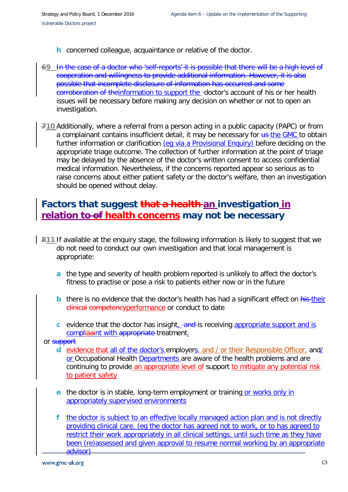- **h** concerned colleague, acquaintance or relative of the doctor.
- **69** In the case of a doctor who 'self-reports' it is possible that there will be a high level of cooperation and willingness to provide additional information. However, it is also possible that incomplete disclosure of information has occurred and some corroboration of theinformation to support the -doctor's account of his or her health issues will be necessary before making any decision on whether or not to open an investigation.
- **710** Additionally, where a referral from a person acting in a public capacity (PAPC) or from a complainant contains insufficient detail, it may be necessary for us-the GMC to obtain further information or clarification (eq via a Provisional Enquiry) before deciding on the appropriate triage outcome. The collection of further information at the point of triage may be delayed by the absence of the doctor's written consent to access confidential medical information. Nevertheless, if the concerns reported appear so serious as to raise concerns about either patient safety or the doctor's welfare, then an investigation should be opened without delay.

## **Factors that suggest that a health an investigation in relation to of health concerns may not be necessary**

- **811** If available at the enquiry stage, the following information is likely to suggest that we do not need to conduct our own investigation and that local management is appropriate:
	- **a** the type and severity of health problem reported is unlikely to affect the doctor's fitness to practise or pose a risk to patients either now or in the future
	- **b** there is no evidence that the doctor's health has had a significant effect on his their clinical competencyperformance or conduct to date
	- **c** evidence that the doctor has insight, and is receiving appropriate support and is compliaaint with appropriate treatment.

or support

- **d** evidence that all of the doctor's employers, and / or their Responsible Officer, and/ or Occupational Health Departments are aware of the health problems and are continuing to provide an appropriate level of support to mitigate any potential risk to patient safety
- **e** the doctor is in stable, long-term employment or training or works only in appropriately supervised environments
- **f** the doctor is subject to an effective locally managed action plan and is not directly providing clinical care. (eg the doctor has agreed not to work, or to has agreed to restrict their work appropriately in all clinical settings, until such time as they have been (re)assessed and given approval to resume normal working by an appropriate advisor)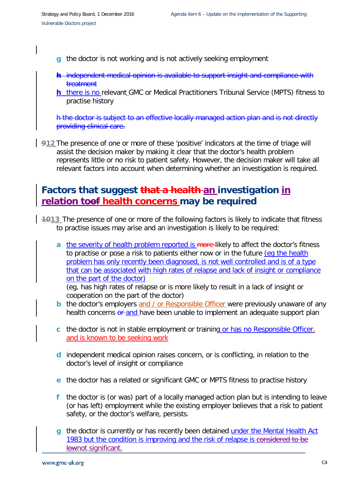- **g** the doctor is not working and is not actively seeking employment
- **h** independent medical opinion is available to support insight and compliance with treatment
- **h** there is no relevant GMC or Medical Practitioners Tribunal Service (MPTS) fitness to practise history

h the doctor is subject to an effective locally managed action plan and is not directly providing clinical care.

**912** The presence of one or more of these 'positive' indicators at the time of triage will assist the decision maker by making it clear that the doctor's health problem represents little or no risk to patient safety. However, the decision maker will take all relevant factors into account when determining whether an investigation is required.

# **Factors that suggest that a health an investigation in relation toof health concerns may be required**

- **1013** The presence of one or more of the following factors is likely to indicate that fitness to practise issues may arise and an investigation is likely to be required:
	- **a** the severity of health problem reported is more-likely to affect the doctor's fitness to practise or pose a risk to patients either now or in the future (eg the health problem has only recently been diagnosed, is not well controlled and is of a type that can be associated with high rates of relapse and lack of insight or compliance on the part of the doctor)

(eg, has high rates of relapse or is more likely to result in a lack of insight or cooperation on the part of the doctor)

- **b** the doctor's employers and / or Responsible Officer were previously unaware of any health concerns or and have been unable to implement an adequate support plan
- **c** the doctor is not in stable employment or training or has no Responsible Officer, and is known to be seeking work
- **d** independent medical opinion raises concern, or is conflicting, in relation to the doctor's level of insight or compliance
- **e** the doctor has a related or significant GMC or MPTS fitness to practise history
- **f** the doctor is (or was) part of a locally managed action plan but is intending to leave (or has left) employment while the existing employer believes that a risk to patient safety, or the doctor's welfare, persists.
- **g** the doctor is currently or has recently been detained under the Mental Health Act 1983 but the condition is improving and the risk of relapse is considered to be lownot significant.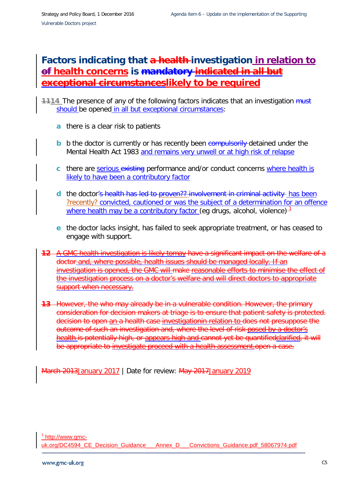# **Factors indicating that a health investigation in relation to of health concerns is mandatory indicated in all but exceptional circumstanceslikely to be required**

- **1114** The presence of any of the following factors indicates that an investigation must should be opened in all but exceptional circumstances:
	- **a** there is a clear risk to patients
	- **b** b the doctor is currently or has recently been compulsorily detained under the Mental Health Act 1983 and remains very unwell or at high risk of relapse
	- **c** there are serious existing performance and/or conduct concerns where health is likely to have been a contributory factor
	- **d** the doctor's health has led to proven?? involvement in criminal activity has been ?recently? convicted, cautioned or was the subject of a determination for an offence where health may be a contributory factor (eg drugs, alcohol, violence) $-1$  $-1$
	- **e** the doctor lacks insight, has failed to seek appropriate treatment, or has ceased to engage with support.
- **12** A GMC health investigation is likely tomay have a significant impact on the welfare of a doctor and, where possible, health issues should be managed locally. If an investigation is opened, the GMC will make reasonable efforts to minimise the effect of the investigation process on a doctor's welfare and will direct doctors to appropriate support when necessary.
- **13** However, the who may already be in a vulnerable condition. However, the primary consideration for decision makers at triage is to ensure that patient safety is protected. decision to open an a health case investigationin relation to does not presuppose the outcome of such an investigation and, where the level of risk posed by a doctor's health is potentially high, or appears high and cannot yet be quantified clarified, it will be appropriate to investigate proceed with a health assessment.open a case.

<span id="page-11-0"></span>March 2013January 2017 | Date for review: May 2017January 2019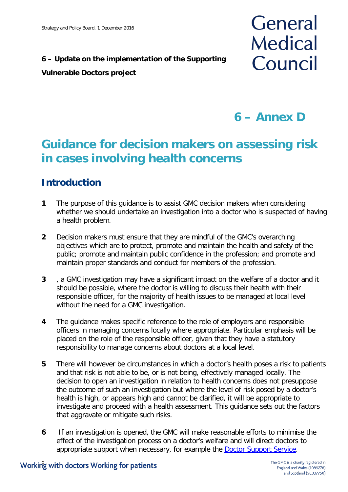# **6 – Update on the implementation of the Supporting**

## **Vulnerable Doctors project**

# General **Medical** Council

**6 – Annex D**

# **Guidance for decision makers on assessing risk in cases involving health concerns**

# **Introduction**

- **1** The purpose of this guidance is to assist GMC decision makers when considering whether we should undertake an investigation into a doctor who is suspected of having a health problem.
- **2** Decision makers must ensure that they are mindful of the GMC's overarching objectives which are to protect, promote and maintain the health and safety of the public; promote and maintain public confidence in the profession; and promote and maintain proper standards and conduct for members of the profession.
- **3** , a GMC investigation may have a significant impact on the welfare of a doctor and it should be possible, where the doctor is willing to discuss their health with their responsible officer, for the majority of health issues to be managed at local level without the need for a GMC investigation.
- **4** The guidance makes specific reference to the role of employers and responsible officers in managing concerns locally where appropriate. Particular emphasis will be placed on the role of the responsible officer, given that they have a statutory responsibility to manage concerns about doctors at a local level.
- **5** There will however be circumstances in which a doctor's health poses a risk to patients and that risk is not able to be, or is not being, effectively managed locally. The decision to open an investigation in relation to health concerns does not presuppose the outcome of such an investigation but where the level of risk posed by a doctor's health is high, or appears high and cannot be clarified, it will be appropriate to investigate and proceed with a health assessment. This guidance sets out the factors that aggravate or mitigate such risks.
- **6** If an investigation is opened, the GMC will make reasonable efforts to minimise the effect of the investigation process on a doctor's welfare and will direct doctors to appropriate support when necessary, for example the **Doctor Support Service**.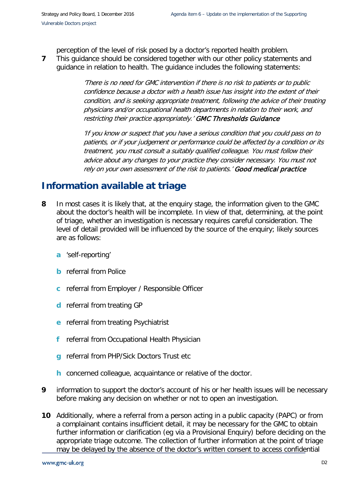perception of the level of risk posed by a doctor's reported health problem.

**7** This guidance should be considered together with our other policy statements and guidance in relation to health. The guidance includes the following statements:

> 'There is no need for GMC intervention if there is no risk to patients or to public confidence because a doctor with a health issue has insight into the extent of their condition, and is seeking appropriate treatment, following the advice of their treating physicians and/or occupational health departments in relation to their work, and restricting their practice appropriately.' GMC Thresholds Guidance

> 'If you know or suspect that you have a serious condition that you could pass on to patients, or if your judgement or performance could be affected by a condition or its treatment, you must consult a suitably qualified colleague. You must follow their advice about any changes to your practice they consider necessary. You must not rely on your own assessment of the risk to patients.' Good medical practice

## **Information available at triage**

- **8** In most cases it is likely that, at the enquiry stage, the information given to the GMC about the doctor's health will be incomplete. In view of that, determining, at the point of triage, whether an investigation is necessary requires careful consideration. The level of detail provided will be influenced by the source of the enquiry; likely sources are as follows:
	- **a** 'self-reporting'
	- **b** referral from Police
	- **c** referral from Employer / Responsible Officer
	- **d** referral from treating GP
	- **e** referral from treating Psychiatrist
	- **f** referral from Occupational Health Physician
	- **g** referral from PHP/Sick Doctors Trust etc
	- **h** concerned colleague, acquaintance or relative of the doctor.
- **9** information to support the doctor's account of his or her health issues will be necessary before making any decision on whether or not to open an investigation.
- **10** Additionally, where a referral from a person acting in a public capacity (PAPC) or from a complainant contains insufficient detail, it may be necessary for the GMC to obtain further information or clarification (eg via a Provisional Enquiry) before deciding on the appropriate triage outcome. The collection of further information at the point of triage may be delayed by the absence of the doctor's written consent to access confidential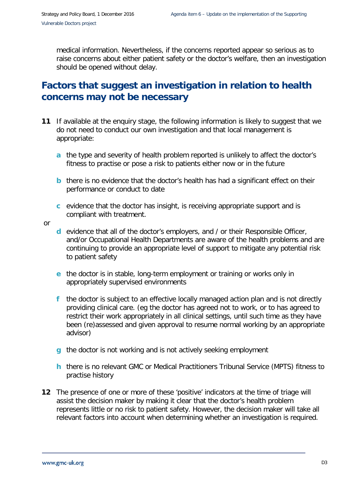medical information. Nevertheless, if the concerns reported appear so serious as to raise concerns about either patient safety or the doctor's welfare, then an investigation should be opened without delay.

# **Factors that suggest an investigation in relation to health concerns may not be necessary**

- **11** If available at the enquiry stage, the following information is likely to suggest that we do not need to conduct our own investigation and that local management is appropriate:
	- **a** the type and severity of health problem reported is unlikely to affect the doctor's fitness to practise or pose a risk to patients either now or in the future
	- **b** there is no evidence that the doctor's health has had a significant effect on their performance or conduct to date
	- **c** evidence that the doctor has insight, is receiving appropriate support and is compliant with treatment.

or

- **d** evidence that all of the doctor's employers, and / or their Responsible Officer, and/or Occupational Health Departments are aware of the health problems and are continuing to provide an appropriate level of support to mitigate any potential risk to patient safety
- **e** the doctor is in stable, long-term employment or training or works only in appropriately supervised environments
- **f** the doctor is subject to an effective locally managed action plan and is not directly providing clinical care. (eg the doctor has agreed not to work, or to has agreed to restrict their work appropriately in all clinical settings, until such time as they have been (re)assessed and given approval to resume normal working by an appropriate advisor)
- **g** the doctor is not working and is not actively seeking employment
- **h** there is no relevant GMC or Medical Practitioners Tribunal Service (MPTS) fitness to practise history
- **12** The presence of one or more of these 'positive' indicators at the time of triage will assist the decision maker by making it clear that the doctor's health problem represents little or no risk to patient safety. However, the decision maker will take all relevant factors into account when determining whether an investigation is required.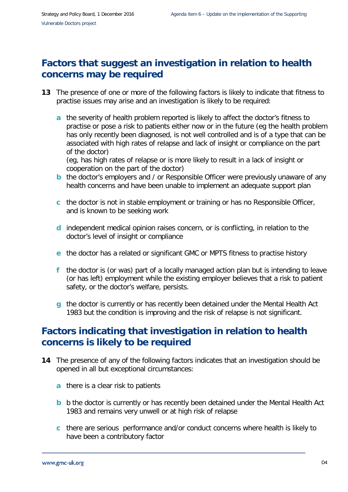# **Factors that suggest an investigation in relation to health concerns may be required**

- **13** The presence of one or more of the following factors is likely to indicate that fitness to practise issues may arise and an investigation is likely to be required:
	- **a** the severity of health problem reported is likely to affect the doctor's fitness to practise or pose a risk to patients either now or in the future (eg the health problem has only recently been diagnosed, is not well controlled and is of a type that can be associated with high rates of relapse and lack of insight or compliance on the part of the doctor)

(eg, has high rates of relapse or is more likely to result in a lack of insight or cooperation on the part of the doctor)

- **b** the doctor's employers and / or Responsible Officer were previously unaware of any health concerns and have been unable to implement an adequate support plan
- **c** the doctor is not in stable employment or training or has no Responsible Officer, and is known to be seeking work
- **d** independent medical opinion raises concern, or is conflicting, in relation to the doctor's level of insight or compliance
- **e** the doctor has a related or significant GMC or MPTS fitness to practise history
- **f** the doctor is (or was) part of a locally managed action plan but is intending to leave (or has left) employment while the existing employer believes that a risk to patient safety, or the doctor's welfare, persists.
- **g** the doctor is currently or has recently been detained under the Mental Health Act 1983 but the condition is improving and the risk of relapse is not significant.

# **Factors indicating that investigation in relation to health concerns is likely to be required**

- **14** The presence of any of the following factors indicates that an investigation should be opened in all but exceptional circumstances:
	- **a** there is a clear risk to patients
	- **b** b the doctor is currently or has recently been detained under the Mental Health Act 1983 and remains very unwell or at high risk of relapse
	- **c** there are serious performance and/or conduct concerns where health is likely to have been a contributory factor